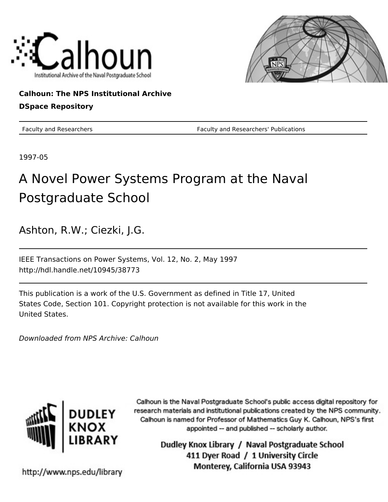



**Calhoun: The NPS Institutional Archive DSpace Repository**

Faculty and Researchers Faculty and Researchers' Publications

1997-05

# A Novel Power Systems Program at the Naval Postgraduate School

Ashton, R.W.; Ciezki, J.G.

IEEE Transactions on Power Systems, Vol. 12, No. 2, May 1997 http://hdl.handle.net/10945/38773

This publication is a work of the U.S. Government as defined in Title 17, United States Code, Section 101. Copyright protection is not available for this work in the United States.

Downloaded from NPS Archive: Calhoun



Calhoun is the Naval Postgraduate School's public access digital repository for research materials and institutional publications created by the NPS community. Calhoun is named for Professor of Mathematics Guy K. Calhoun, NPS's first appointed -- and published -- scholarly author.

> Dudley Knox Library / Naval Postgraduate School 411 Dyer Road / 1 University Circle Monterey, California USA 93943

http://www.nps.edu/library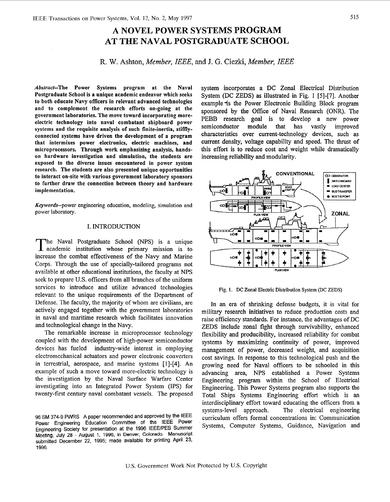# **A NOVEL POWER SYSTEMS PROGRAM AT THE NAVAL POSTGRADUATE SCHOOL**

#### R. W. Ashton, *Member, IEEE,* and J, *G.* Ciezki, *Member, IEEE*

**Abstract-The Power Systems program at the Naval Postgraduate School is a unique academic endeavor which seeks to both educate Navy officers in relevant advanced technologies and to complement the research efforts on-going at the government laboratories. The move toward incorporating moreelectric technology into naval combatant shipboard power systems and the requisite analysis of such finite-inertia, stifflyconnected systems have driven the development of a program that intermixes power electronics, electric machines, and microprocessors. Through work emphasizing analysis, handson hardware investigation and simulation, the students are exposed to the diverse issues encountered in power system research. The students are also presented unique opportunities to interact on-site with various government laboratory sponsors to further draw the connection between theory and hardware implementation.** 

Keywords-power engineering education, modeling, simulation and power laboratory.

### I. INTRODUCTION

The Naval Postgraduate School (NPS) is a unique academic institution whose primary mission is to increase the combat effectiveness of the Navy and Marine Corps. Through the use of specially-tailored programs not available at other educational institutions, the faculty at NPS seek to prepare U.S. officers from all branches of the uniform services to introduce and utilize advanced technologies relevant to the unique requirements of the Department of Defense. The faculty, the majority of whom are civilians, are actively engaged together with the government laboratories in naval and maritime research which facilitates innovation and technological change in the Navy.

The remarkable increase in microprocessor technology coupled with the development of high-power semiconductor devices has fueled industry-wide interest in employing electromechanical actuators and power electronic converters in terrestrial, aerospace, and marine systems [ 11-[4]. An example of such a move toward more-electric technology is the investigation by the Naval Surface Warfare Center investigating into an Integrated Power System (IPS) for twenty-first century naval combatant vessels. The proposed

96 **SM** 374-9 PWRS **A** paper recommended and approved by the IEEE Power Engineering Education Committee of the IEEE Power Engineering Society for presentation at the 1996 IEEE/PES Summer Meeting, July **28** - August 1, 1996, in **Denver,** Colorado. **Manuscript**  submitted December 22, 1995; made available for printing April 23, 1996.

system incorporates a DC Zonal Electrical Distribution System (DC ZEDS) **as** illustrated in Fig. I **[5]-[7].** Another example is the Power Electronic Building Block program sponsored by the Office of Naval Research (ONR). The PEBB research goal is to develop a new power<br>semiconductor module that has vastly improved semiconductor module that has vastly improved characteristics over current-technology devices, such as current density, voltage capability and speed. The thrust of this effort is to reduce cost and weight while dramatically increasing reliability and modularity.



**Fig. 1. DC** Zonal Electric **Distribution System** (DC **ZEDS)** 

In an era of shrinking defense budgets, it is vital for military research initiatives to reduce production costs and raise efficiency standards. For instance, the advantages of DC ZEDS include zonal fight through survivability, enhanced flexibility and producibility, increased reliability for combat systems by maximizing continuity of power, improved management of power, decreased weight, and acquisition cost savings. In response to this technological push and the growing need for Naval officers to be schooled in this advancing area, NPS established a Power Systems Engineering program within the School of Electrical Engineering. This Power Systems program also supports the Total Ships Systems Engineering effort which is an interdisciplinary effort toward educating the officers from a systems-level approach. The electrical engineering curriculum offers formal concentrations in: Communication Systems, Computer Systems, Guidance, Navigation and

**U.S.** Government **Work** Not Protected by **U.S.** Copyright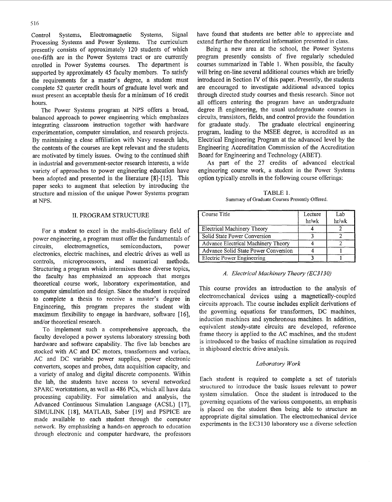Control Systems, Electromagnetic Systems, Signal Processing Systems and Power Systems. The curriculum presently consists of approximately 120 students of which one-fifth are in the Power Systems tract or are currently enrolled in Power Systems courses. The department is supported by approximately **45** faculty members. To satisfy the requirements for a master's degree, a student must complete 52 quarter credit hours of graduate level work and must present an acceptable thesis for a minimum of 16 credit hours.

The Power Systems program at NPS offers a broad, balanced approach to power engineering which emphasizes integrating classroom instruction together with hardware experimentation, computer simulation, and research projects. By maintaining a close affiliation with Navy research labs, the contents of the courses are kept relevant and the students are motivated by timely issues. Owing to the continued shift in industrial and government-sector research interests, a wide variety of approaches to power engineering education have been adopted and presented in the literature [8]-[15]. This paper seeks to augment that selection by introducing the structure and mission of the unique Power Systems program at NPS.

# **II. PROGRAM STRUCTURE**

**<sup>4</sup>**2 For a student to excel in the multi-disciplinary field of power engineering, a program must offer the fundamentals of circuits, electromagnetics, semiconductors, power electronics, electric machines, and electric drives **as** well **as**  controls, microprocessors, and numerical methods. Structuring a program which intermixes these diverse topics, the faculty has emphasized **an** approach that merges theoretical course work, laboratory experimentation, and computer simulation and design. Since the student is required to complete a thesis to receive a master's degree in Engineering, this program prepares the student with maximum flexibility to engage in hardware, software [16], and/or theoretical research.

To implement such a comprehensive approach, the faculty developed a power systems laboratory stressing both hardware and software capability. The five lab benches are stocked with AC and DC motors, transformers and variacs, AC and DC variable power supplies, power electronic converters, scopes and probes, data acquisition capacity, and a variety of analog and digital discrete components. Within the lab, the students have access to several networked SPARC workstations, as well as 486 PCs, which all have data processing capability. For simulation and analysis, the Advanced Continuous Simulation Language (ACSL) [ 171, SIMULINK **[18],** MATLAB, Saber [19] and PSPICE are made available to each student through the computer network. By emphasizing a hands-on approach to education through electronic and computer hardware, the professors

have found that students are better able to appreciate and extend further the theoretical information presented in class.

Being a new area at the school, the Power Systems program presently consists of five regularly scheduled courses summarized in Table 1. When possible, the faculty will bring on-line several additional courses which are briefly introduced in Section IV of this paper. Presently, the students are encouraged to investigate additional advanced topics through directed study courses and thesis research. Since not all officers entering the program have an undergraduate degree in engineering, the usual undergraduate courses in circuits, transistors, fields, and control provide the foundation The graduate electrical engineering. program, leading to the MSEE degree, is accredited as an Electrical Engineering Program at the advanced level by the Engineering Accreditation Commission of the Accreditation Board for Engineering and Technology (ABET).

As part of the 27 credits of advanced electrical engineering course work, a student in the Power Systems option typically enrolls in the following course offerings:

TABLE 1. Summary of Graduate Courses Presently Offered.

| Course Title                         | Lecture | Lab   |
|--------------------------------------|---------|-------|
|                                      | hr/wk   | hr/wk |
| <b>Electrical Machinery Theory</b>   |         |       |
| Solid State Power Conversion         |         |       |
| Advance Electrical Machinery Theory  |         |       |
| Advance Solid State Power Conversion |         |       |
| Electric Power Engineering           |         |       |

#### *A. Electrical Machinev Theory (EC3130)*

This course provides an introduction to the analysis of electromechanical devices using **a** magnetically-coupled circuits approach. The course includes explicit derivations of the governing equations for transformers, DC machines, induction machines and synchronous machines. In addition, equivalent steady-state circuits are developed, reference frame theory is applied to the AC machines, and the student is introduced to the basics of machine simulation as required in shipboard electric drive analysis.

#### *Laboratory Work*

Each student is required to complete a set of tutorials structured to introduce the basic issues relevant to power system simulation. Once the student is introduced to the governing equations of the various components, an emphasis is placed on the student then being able to structure an appropriate digital simulation. The electromechanical device experiments in the EC3 130 laboratory use a diverse selection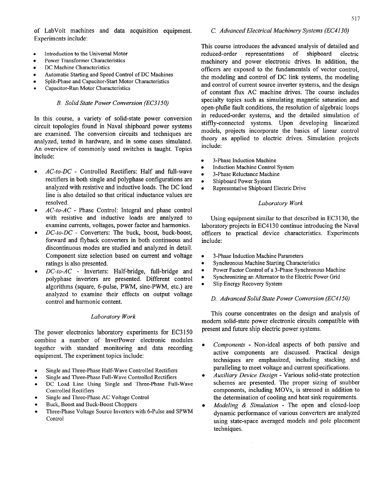of LabWolt machines and data acquisition equipment. Experiments include:

- Introduction to the Universal Motor
- Power Transformer Characteristics
- DC Machine Characteristics  $\bullet$
- Automatic Starting and Speed Control of DC Machines
- Split-Phase and Capacitor-Start Motor Characteristics
- Capacitor-Run Motor Characteristics

### *B. Solid State Power Conversion (EC3150)*

In this course, a variety of solid-state power conversion circuit topologies found in Naval shipboard power systems are examined. The conversion circuits and techniques are analyzed, tested in hardware, and in some cases simulated. An overview of commonly used switches is taught. Topics include:

- *AC-to-DC*  Controlled Rectifiers: Half and full-wave rectifiers in both single and polyphase configurations are analyzed with resistive and inductive loads. The DC load line is also detailed so that critical inductance values are resolved.
- *AC-to-AC*  Phase Control: Integral and phase control with resistive and inductive loads are analyzed to examine currents, voltages, power factor and harmonics.
- *DC-to-DC*  Converters: The buck, boost, buck-boost, forward and flyback converters in both continuous and discontinuous modes are studied and analyzed in detail. Component size selection based on current and voltage ratings is also presented.
- *DC-to-AC*  Inverters: Half-bridge, full-bridge and polyphase inverters are presented. Different control algorithms (square, 6-pulse, PWM, sine-PWM, etc.) are analyzed to examine their effects on output voltage control and harmonic content.

### *Laboratory Work*

The power electronics laboratory experiments for EC3 150 combine a number of InverPower electronic modules together with standard monitoring and data recording equipment. The experiment topics include:

- Single and Three-phase Half-Wave Controlled Rectifiers
- Single and Three-phase Full-Wave Controlled Rectifiers
- DC Load Line Using Single and Three-phase Full-Wave Controlled Rectifiers
- Single and Three-phase AC Voltage Control
- Buck, Boost and Buck-Boost Choppers
- Three-phase Voltage Source Inverters with 6-Pulse and SPWM Control

#### *C. Advanced Electrical Machinery Systems (EC4130)*

This course introduces the advanced analysis of detailed and reduced-order representations of shipboard electric machinery and power electronic drives. In addition, the officers are exposed to the fundamentals of vector control, the modeling and control of DC link systems, the modeling and control of current source inverter systems, and the design of constant flux AC machine drives. The course includes specialty topics such as simulating magnetic saturation and open-phase fault conditions, the resolution of algebraic loops in reduced-order systems, and the detailed simulation of stiffly-connected systems. Upon developing linearized models, projects incorporate the basics of linear control theory as applied to electric drives. Simulation projects include:

- 3-Phase Induction Machine
- Induction Machine Control System
- 3-Phase Reluctance Machine
- Shipboard Power System
- Representative Shipboard Electric Drive

#### Laboratory Work

Using equipment similar to that described in EC3 130, the laboratory projects in EC4130 continue introducing the Naval officers to practical device characteristics. Experiments include:

- 3-Phase Induction Machine Parameters
- Synchronous Machine Starting Characteristics
- Power Factor Control of a 3-Phase Synchronous Machine
- Synchronizing an Alternator to the Electric Power Grid
- **Slip** Energy Recovery System

#### *D. Advanced Solid State Power Conversion (EC41.50)*

This course concentrates on the design and analysis of modern solid-state power electronic circuits compatible with present and future ship electric power systems.

- *0 Components*  Non-ideal aspects of both passive and active components are discussed. Practical design techniques are emphasized, including stacking and paralleling to meet voltage and current specifications.
- *Auxiliary Device Design*  Various solid-state protection schemes are presented. The proper sizing of snubber components, including MOVs, is stressed in addition to the determination of cooling and heat sink requirements.
- *Modeling* & *Simulation*  The open and closed-loop dynamic performance of various converters are analyzed using state-space averaged models and pole placement techniques.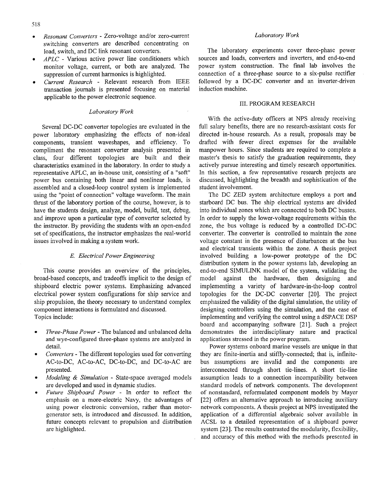- *Resonant Converters* Zero-voltage and/or zero-current switching converters are described concentrating on load, switch, and DC link resonant converters.
- *APLC*  Various active power line conditioners which monitor voltage, current, or both are analyzed. The suppression of current harmonics is highlighted. **e**
- *Current Research*  Relevant research from IEEE transaction journals is presented focusing on material applicable to the power electronic sequence.

# *Laboratory Work*

Several DC-DC converter topologies are evaluated in the power laboratory emphasizing the effects of non-ideal components, transient waveshapes, and efficiency. To compliment the resonant converter analysis presented in class, four different topologies are built and their characteristics examined in the laboratory. In order to study a representative APLC, an in-house unit, consisting of a "soft" power bus containing both linear and nonlinear loads, is assembled and a closed-loop control system is implemented using the "point of connection" voltage waveform. The main thrust of the laboratory portion of the course, however, is to have the students design, analyze, model, build, test, debug, and improve upon a particular type of converter selected by the instructor. By providing the students with an open-ended set of specifications, the instructor emphasizes the real-world issues involved in making a system work.

#### *E. Electrical Power Engineering*

This course provides an overview of the principles, broad-based concepts, and tradeoffs implicit to the design of shipboard electric power systems. Emphasizing advanced electrical power system configurations for ship service and ship propulsion, the theory necessary to understand complex component interactions is formulated and discussed. Topics include:

- *Three-phase Power*  The balanced and unbalanced delta and wye-configured three-phase systems are analyzed in detail.
- *Converters*  The different topologies used for converting AC-to-DC, AC-to-AC, DC-to-DC, and DC-to-AC are presented.
- *Modeling* & *Simulation*  State-space averaged models are developed and used in dynamic studies.
- *Future Shipboard Power*  In order to reflect the emphasis on a more-electric Navy, the advantages of using power electronic conversion, rather than motorgenerator sets, is introduced and discussed. In addition, future concepts relevant to propulsion and distribution are highlighted.

#### *Laboratory Work*

The laboratory experiments cover three-phase power sources and loads, converters and inverters, and end-to-end power system construction. The final lab involves the connection of a three-phase source to a six-pulse rectifier followed by a DC-DC converter and an inverter-driven induction machine.

#### 111. PROGRAM RESEARCH

With the active-duty officers at NPS already receiving full salary benefits, there are no research-assistant costs for directed in-house research. As a result, proposals may be drafted with fewer direct expenses for the available manpower hours. Since students are required to complete a master's thesis to satisfy the graduation requirements, they actively pursue interesting and timely research opportunities. In this section, a few representative research projects are discussed, highlighting the breadth and sophistication of the student involvement.

The DC ZED system architecture employs a port and starboard DC bus. The ship electrical systems are divided into individual zones which are connected to both DC busses. In order to supply the lower-voltage requirements within the zone, the bus voltage is reduced by a controlled DC-DC converter. The converter is controlled to maintain the zone voltage constant in the presence of disturbances at the bus and electrical transients within the zone. A thesis project involved building a low-power prototype of the DC distribution system in the power systems lab, developing an end-to-end SIMULINK model of the system, validating the model against the hardware, then designing and implementing a variety of hardware-in-the-loop control topologies for the DC-DC converter [20]. The project emphasized the validity of the digital simulation, the utility of designing controllers using the simulation, and the ease of implementing and verifying the control using a dSPACE DSP board and accompanying software [21]. Such a project demonstrates the interdisciplinary nature and practical applications stressed in the power program.

Power systems onboard marine vessels are unique in that they are finite-inertia and stiffly-connected; that is, infinitebus assumptions are invalid and the components are interconnected through short tie-lines. A short tie-line assumption leads to a connection incompatibility between standard models of network components. The development of nonstandard, reformulated component models by Mayer [22] offers an alternative approach to introducing auxiliary network components. A thesis project at NPS investigated the application of a differential algebraic solver available in ACSL to a detailed representation of a shipboard power system [23]. The results contrasted the modularity, flexibility, and accuracy of this method with the methods presented in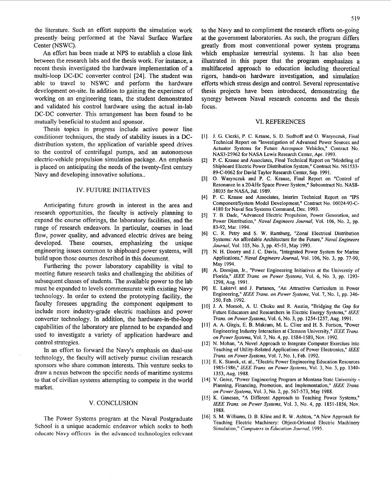the literature. Such an effort supports the simulation work presently being performed at the Naval Surface Warfare Center (NSWC).

An effort has been made at NPS to establish a close link between the research labs and the thesis work. For instance, a recent thesis investigated the hardware implementation of a multi-loop DC-DC converter control **[24].** The student was able to travel to NSWC and perform the hardware development on-site. In addition to gaining the experience of working on an engineering team, the student demonstrated and validated his control hardware using the actual in-lab DC-DC converter. This arrangement has been found to be mutually beneficial to student and sponsor.

Thesis topics in progress include active power line conditioner techniques, the study of stability issues in a DCdistribution system, the application of variable speed drives to the control of centrifugal pumps, and an autonomous electric-vehicle propulsion simulation package. An emphasis is placed on anticipating the needs of the twenty-first century Navy and developing innovative solutions..

# IV. FUTURE INITIATIVES

Anticipating future growth in interest in the area and research opportunities, the faculty is actively planning to expand the course offerings, the laboratory facilities, and the range of research endeavors. In particular, courses in load flow, power quality, and advanced electric drives are being developed. These courses, emphasizing the unique engineering issues common to shipboard power systems, will build upon those courses described in this document.

Furthering the power laboratory capability is vital to meeting future research tasks and challenging the abilities of subsequent classes of students. The available power to the lab must be expanded to levels commensurate with existing Navy technology. In order to extend the prototyping facility, the faculty foresees upgrading the component equipment to include more industry-grade electric machines and power converter technology. In addition, the hardware-in-the-loop capabilities of the laboratory are planned to be expanded and used to investigate a variety of application hardware and control strategies.

In an effort to forward the Navy's emphasis on dual-use technology, the faculty will actively pursue civilian research sponsors who share common interests. This venture seeks to draw a nexus between the specific needs of maritime systems to that of civilian systems attempting to compete in the world market.

#### V. CONCLUSION

The Power Systems program at the Naval Postgraduate School is a unique academic endeavor which seeks to both educate Navy officers in the advanced technologies relevant to the Navy and to compliment the research efforts on-going at the government laboratories. As such, the program differs greatly from most conventional power system programs which emphasize terrestrial systems. It has also been illustrated in this paper that the program emphasizes a multifaceted approach to education including theoretical rigors, hands-on hardware investigation, and simulation efforts which stress design and control. Several representative thesis projects have been introduced, demonstrating the synergy between Naval research concerns and the thesis focus.

#### VI. REFERENCES

- J. G. Ciezki, P. C. Krause, S. D. Sudhoff and 0. Wasynczuk, Final Technical Report on "Investigation of Advanced Power Sources and Actuator Systems for Future Aerospace Vehicles," Contract No. NAS3-25962 for NASA Lewis Research Center, Apr. 1993.
- $\lceil 2 \rceil$ P. C. Krause and Associates, Final Technical Report on "Modeling of Shipboard Electric Power Distribution System," Contract No. N61533- 89-C-0062 for David Taylor Research Center, Sep. 1991.
- 0. Wasynczuk and P. C. Krause, Final Report on "Control of Resonance in a 20-kHz Space Power System," Subcontract No. NASI-38035 for NASA, Jul. 1989.
- [4] P. C. Krause and Associates, Interim Technical Report on "IPS Component/System Model Development," Contract No. 00024-93-C-4180 for Naval Sea Systems Command, Dec. 1993.
- T. B. Dade, "Advanced Electric Propulsion, Power Generation, and Power Distribution," *Naval Engineers Journal,* Vol. 106, No. 2, pp. 83-92, Mar. 1994.
- [6] C. R. Petry and S. W. Rumburg, "Zonal Electrical Distribution Systems: An affordable Architecture for the Future," *Naval Engineers Journal,* Vol. 105, No. 3, pp. **45-51,** May 1993.
- [7] N. H. Doerry and J. C. Davis, "Integrated Power System for Marine Applications," *Naval Engineers Journal,* Vol. 106, No. 3, pp. 77-90, May 1994.
- $^{[8]}$ A. Domijan, Jr., "Power Engineering Initiatives at the Universtiy of Florida," IEEE Trans. on Power Systems, Vol. 6, No. 3, pp. 1293-1298, Aug. 1991.
- $[9]$ E. Lakervi and J. Partanen, "An Attractive Curriculum in Power Engineering," *IEEE Trans. on Power Systems,* Vol. 7, No. 1, pp. 346- 350. Feb. 1992.
- [IO] J. A. Momoh, A. U. Chuku and R. Austin, "Bridging the Gap for Future Educators and Researchers in Electric Energy Systems," *IEEE Trans. on Power Systems,* Vol. 6, No. 3, pp. 1254-1257, Aug. 1991.
- [11] A. A. Girgis, E. B. Makram, M. L. Cline and H. S. Fortson, "Power Engineering Industry Interaction at Clemson University," IEEE *Trans. on Power Systems,* Vol. 7, No. 4, pp. 1584-1589, Nov. 1992.
- [12] N. Mohan, "A Novel Approach to Integrate Computer Exercises into Teaching of Utility-Related Applications of Power Electronics," *IEEE Trans.* on *Power Systems,* **Vol.** 7, No. 1, Feb. 1992.
- [I31 E. K. Stanek, et. at., "Electric Power Engineering Education Resources 1985-1986," IEEE *Trans. on Power Systems,* Vol. 3, No. 3, pp. 1340- 1353, Aug. 1988.
- [14] V. Gerez, "Power Engineering Program at Montana State University Planning, Financing, Promotion, and Implementation," *IEEE Trans.*  on *Power Systems,* Vol. 3, No. 2, pp. 567-573, May 1988.
- [15] K. Ganesan, "A Different Approach to Teaching Power Systems," *IEEE Trans. on Power Systems,* Vol. 3, No. 4, pp. 1851-1856, Nov. 1988.
- [16] S. M. Williams, D. B. Kline and R. W. Ashton, "A New Approach for Teaching Electric Machinery: Object-Oriented Electric Machinery Simulation," *Compufers in Education Journal,* 1995.